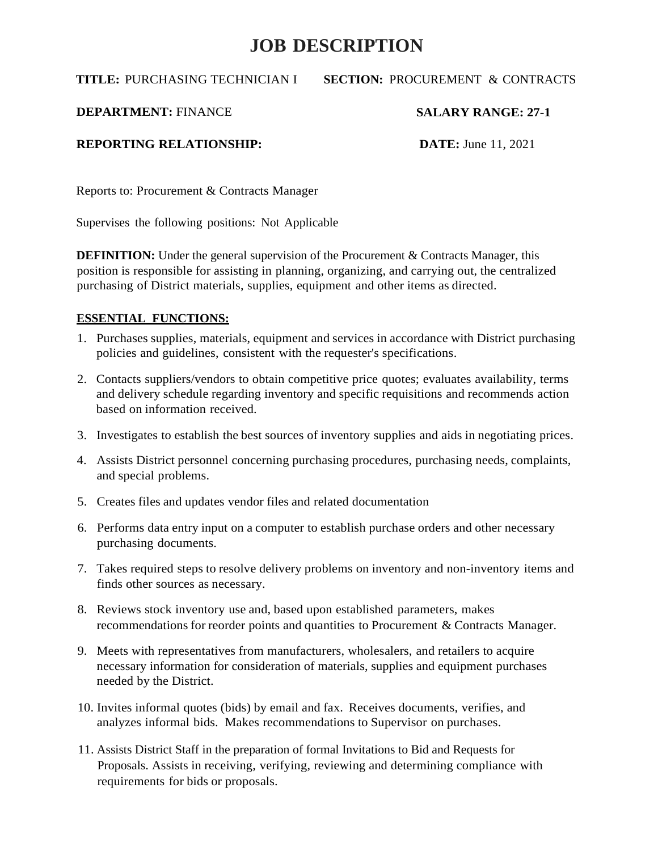**TITLE:** PURCHASING TECHNICIAN I

#### **SECTION:** PROCUREMENT & CONTRACTS

**DEPARTMENT:** FINANCE

#### **SALARY RANGE: 27-1**

**REPORTING RELATIONSHIP:**

**DATE:** June 11, 2021

Reports to: Procurement & Contracts Manager

Supervises the following positions: Not Applicable

**DEFINITION:** Under the general supervision of the Procurement & Contracts Manager, this position is responsible for assisting in planning, organizing, and carrying out, the centralized purchasing of District materials, supplies, equipment and other items as directed.

#### **ESSENTIAL FUNCTIONS:**

- 1. Purchases supplies, materials, equipment and services in accordance with District purchasing policies and guidelines, consistent with the requester's specifications.
- 2. Contacts suppliers/vendors to obtain competitive price quotes; evaluates availability, terms and delivery schedule regarding inventory and specific requisitions and recommends action based on information received.
- 3. Investigates to establish the best sources of inventory supplies and aids in negotiating prices.
- 4. Assists District personnel concerning purchasing procedures, purchasing needs, complaints, and special problems.
- 5. Creates files and updates vendor files and related documentation
- 6. Performs data entry input on a computer to establish purchase orders and other necessary purchasing documents.
- 7. Takes required steps to resolve delivery problems on inventory and non-inventory items and finds other sources as necessary.
- 8. Reviews stock inventory use and, based upon established parameters, makes recommendations for reorder points and quantities to Procurement & Contracts Manager.
- 9. Meets with representatives from manufacturers, wholesalers, and retailers to acquire necessary information for consideration of materials, supplies and equipment purchases needed by the District.
- 10. Invites informal quotes (bids) by email and fax. Receives documents, verifies, and analyzes informal bids. Makes recommendations to Supervisor on purchases.
- 11. Assists District Staff in the preparation of formal Invitations to Bid and Requests for Proposals. Assists in receiving, verifying, reviewing and determining compliance with requirements for bids or proposals.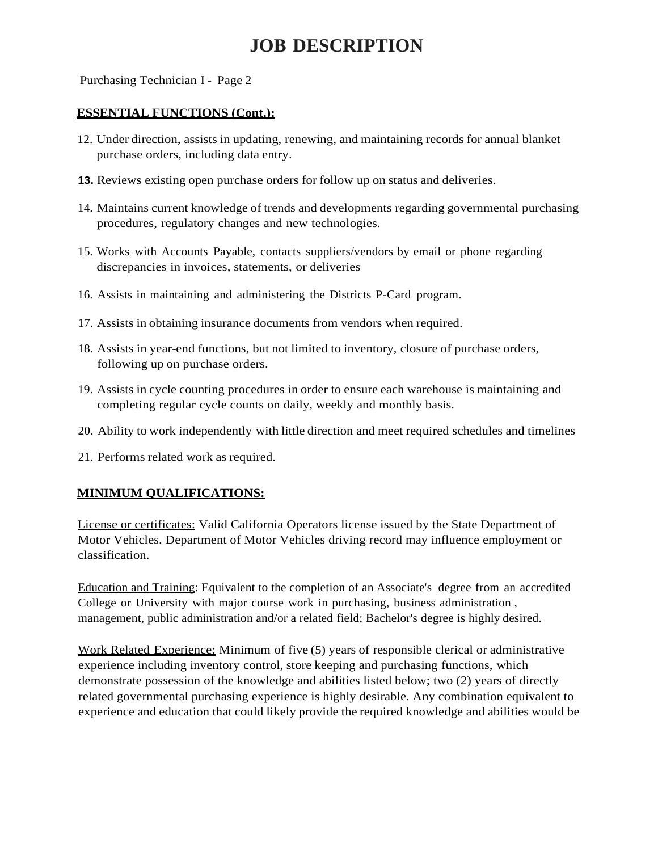Purchasing Technician I - Page 2

#### **ESSENTIAL FUNCTIONS (Cont.):**

- 12. Under direction, assists in updating, renewing, and maintaining records for annual blanket purchase orders, including data entry.
- **13.** Reviews existing open purchase orders for follow up on status and deliveries.
- 14. Maintains current knowledge of trends and developments regarding governmental purchasing procedures, regulatory changes and new technologies.
- 15. Works with Accounts Payable, contacts suppliers/vendors by email or phone regarding discrepancies in invoices, statements, or deliveries
- 16. Assists in maintaining and administering the Districts P-Card program.
- 17. Assists in obtaining insurance documents from vendors when required.
- 18. Assists in year-end functions, but not limited to inventory, closure of purchase orders, following up on purchase orders.
- 19. Assists in cycle counting procedures in order to ensure each warehouse is maintaining and completing regular cycle counts on daily, weekly and monthly basis.
- 20. Ability to work independently with little direction and meet required schedules and timelines
- 21. Performs related work as required.

#### **MINIMUM QUALIFICATIONS:**

License or certificates: Valid California Operators license issued by the State Department of Motor Vehicles. Department of Motor Vehicles driving record may influence employment or classification.

Education and Training: Equivalent to the completion of an Associate's degree from an accredited College or University with major course work in purchasing, business administration , management, public administration and/or a related field; Bachelor's degree is highly desired.

Work Related Experience: Minimum of five (5) years of responsible clerical or administrative experience including inventory control, store keeping and purchasing functions, which demonstrate possession of the knowledge and abilities listed below; two (2) years of directly related governmental purchasing experience is highly desirable. Any combination equivalent to experience and education that could likely provide the required knowledge and abilities would be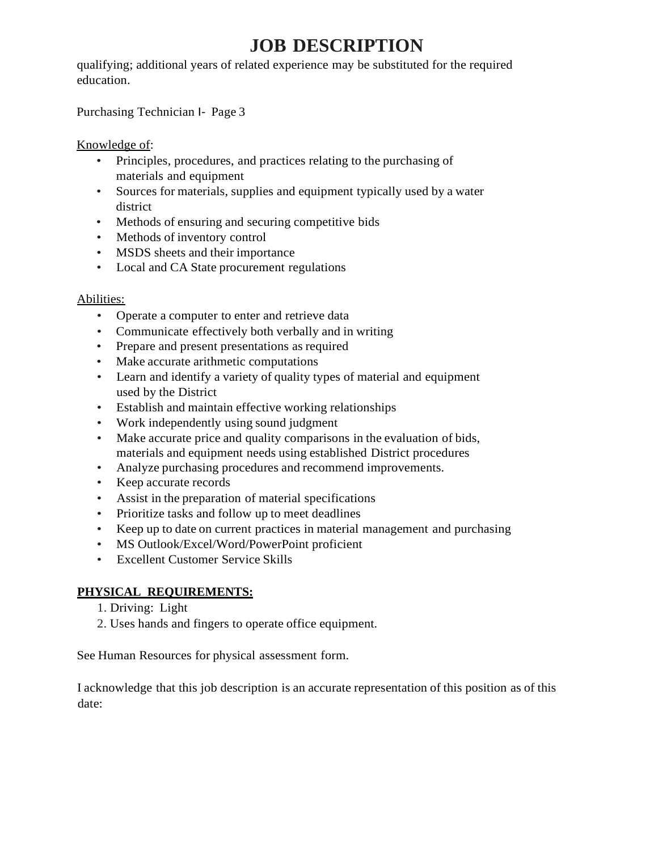qualifying; additional years of related experience may be substituted for the required education.

Purchasing Technician I- Page 3

Knowledge of:

- Principles, procedures, and practices relating to the purchasing of materials and equipment
- Sources for materials, supplies and equipment typically used by a water district
- Methods of ensuring and securing competitive bids
- Methods of inventory control
- MSDS sheets and their importance
- Local and CA State procurement regulations

#### Abilities:

- Operate a computer to enter and retrieve data
- Communicate effectively both verbally and in writing
- Prepare and present presentations as required
- Make accurate arithmetic computations
- Learn and identify a variety of quality types of material and equipment used by the District
- Establish and maintain effective working relationships
- Work independently using sound judgment
- Make accurate price and quality comparisons in the evaluation of bids, materials and equipment needs using established District procedures
- Analyze purchasing procedures and recommend improvements.
- Keep accurate records
- Assist in the preparation of material specifications
- Prioritize tasks and follow up to meet deadlines
- Keep up to date on current practices in material management and purchasing
- MS Outlook/Excel/Word/PowerPoint proficient
- Excellent Customer Service Skills

#### **PHYSICAL REQUIREMENTS:**

- 1. Driving: Light
- 2. Uses hands and fingers to operate office equipment.

See Human Resources for physical assessment form.

I acknowledge that this job description is an accurate representation of this position as of this date: